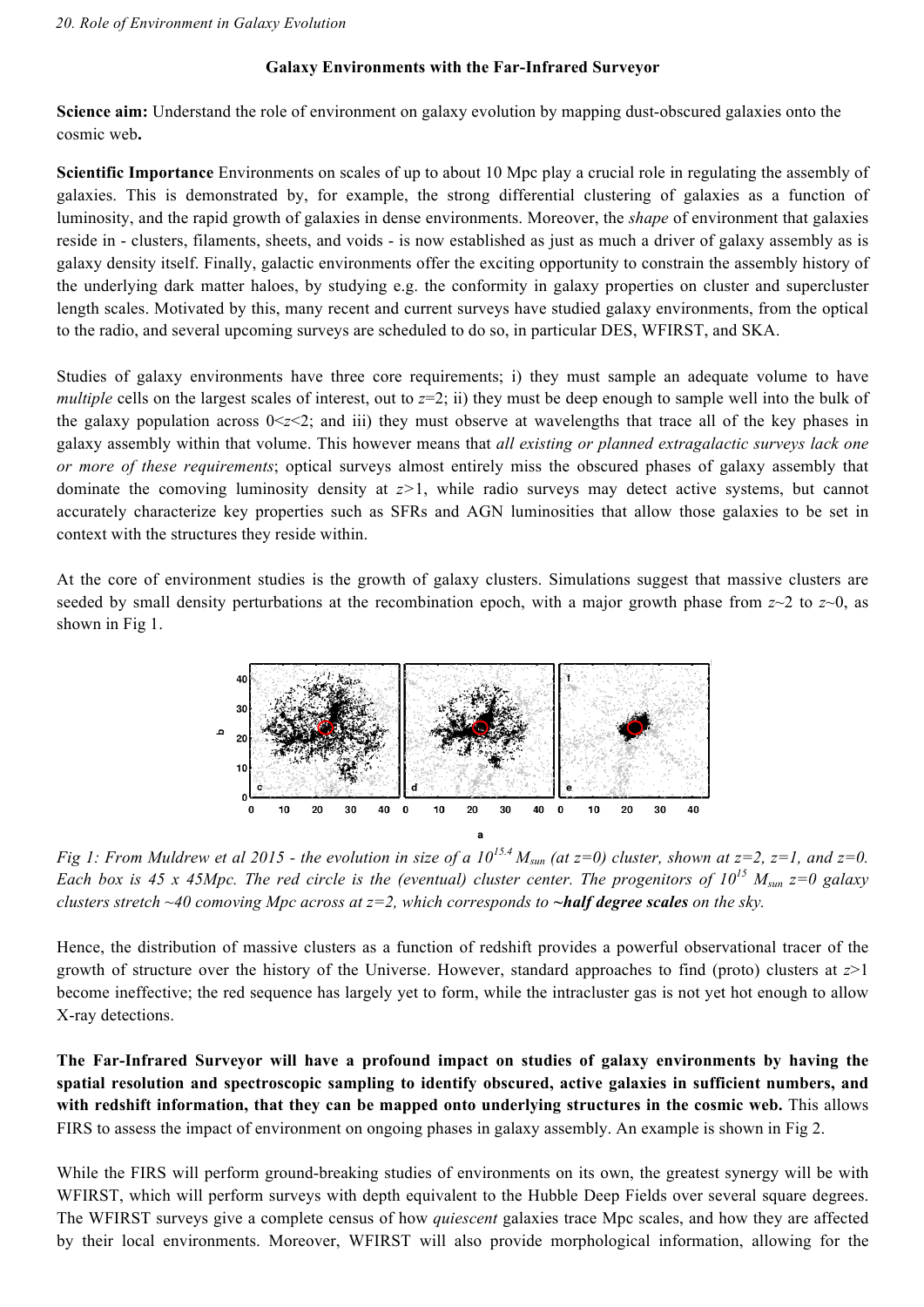## **Galaxy Environments with the Far-Infrared Surveyor**

**Science aim:** Understand the role of environment on galaxy evolution by mapping dust-obscured galaxies onto the cosmic web**.**

**Scientific Importance** Environments on scales of up to about 10 Mpc play a crucial role in regulating the assembly of galaxies. This is demonstrated by, for example, the strong differential clustering of galaxies as a function of luminosity, and the rapid growth of galaxies in dense environments. Moreover, the *shape* of environment that galaxies reside in - clusters, filaments, sheets, and voids - is now established as just as much a driver of galaxy assembly as is galaxy density itself. Finally, galactic environments offer the exciting opportunity to constrain the assembly history of the underlying dark matter haloes, by studying e.g. the conformity in galaxy properties on cluster and supercluster length scales. Motivated by this, many recent and current surveys have studied galaxy environments, from the optical to the radio, and several upcoming surveys are scheduled to do so, in particular DES, WFIRST, and SKA.

Studies of galaxy environments have three core requirements; i) they must sample an adequate volume to have *multiple* cells on the largest scales of interest, out to  $z=2$ ; ii) they must be deep enough to sample well into the bulk of the galaxy population across  $0 \le z \le 2$ ; and iii) they must observe at wavelengths that trace all of the key phases in galaxy assembly within that volume. This however means that *all existing or planned extragalactic surveys lack one or more of these requirements*; optical surveys almost entirely miss the obscured phases of galaxy assembly that dominate the comoving luminosity density at *z>*1, while radio surveys may detect active systems, but cannot accurately characterize key properties such as SFRs and AGN luminosities that allow those galaxies to be set in context with the structures they reside within.

At the core of environment studies is the growth of galaxy clusters. Simulations suggest that massive clusters are seeded by small density perturbations at the recombination epoch, with a major growth phase from *z*~2 to *z*~0, as shown in Fig 1.



*Fig 1: From Muldrew et al 2015 - the evolution in size of a*  $10^{15.4}$  *M<sub>sun</sub> (at z=0) cluster, shown at z=2, z=1, and z=0. Each box is 45 x 45Mpc. The red circle is the (eventual) cluster center. The progenitors of*  $10^{15}$  $M_{\text{sun}}$  $z=0$  *galaxy clusters stretch ~40 comoving Mpc across at z=2, which corresponds to ~half degree scales <i>on the sky.* 

Hence, the distribution of massive clusters as a function of redshift provides a powerful observational tracer of the growth of structure over the history of the Universe. However, standard approaches to find (proto) clusters at *z*>1 become ineffective; the red sequence has largely yet to form, while the intracluster gas is not yet hot enough to allow X-ray detections.

**The Far-Infrared Surveyor will have a profound impact on studies of galaxy environments by having the spatial resolution and spectroscopic sampling to identify obscured, active galaxies in sufficient numbers, and with redshift information, that they can be mapped onto underlying structures in the cosmic web.** This allows FIRS to assess the impact of environment on ongoing phases in galaxy assembly. An example is shown in Fig 2.

While the FIRS will perform ground-breaking studies of environments on its own, the greatest synergy will be with WFIRST, which will perform surveys with depth equivalent to the Hubble Deep Fields over several square degrees. The WFIRST surveys give a complete census of how *quiescent* galaxies trace Mpc scales, and how they are affected by their local environments. Moreover, WFIRST will also provide morphological information, allowing for the